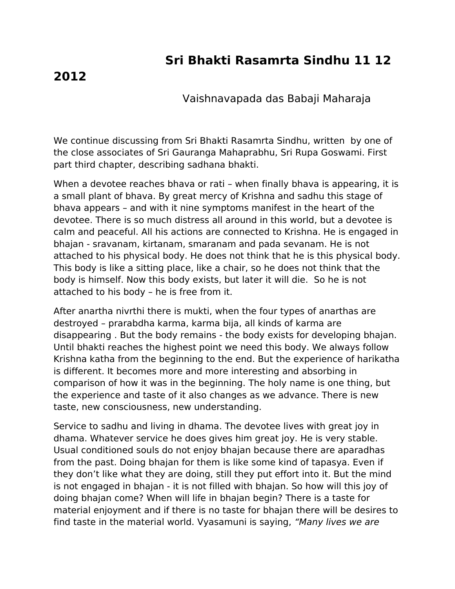## **Sri Bhakti Rasamrta Sindhu 11 12**

## **2012**

Vaishnavapada das Babaji Maharaja

We continue discussing from Sri Bhakti Rasamrta Sindhu, written by one of the close associates of Sri Gauranga Mahaprabhu, Sri Rupa Goswami. First part third chapter, describing sadhana bhakti.

When a devotee reaches bhava or rati – when finally bhava is appearing, it is a small plant of bhava. By great mercy of Krishna and sadhu this stage of bhava appears – and with it nine symptoms manifest in the heart of the devotee. There is so much distress all around in this world, but a devotee is calm and peaceful. All his actions are connected to Krishna. He is engaged in bhajan - sravanam, kirtanam, smaranam and pada sevanam. He is not attached to his physical body. He does not think that he is this physical body. This body is like a sitting place, like a chair, so he does not think that the body is himself. Now this body exists, but later it will die. So he is not attached to his body – he is free from it.

After anartha nivrthi there is mukti, when the four types of anarthas are destroyed – prarabdha karma, karma bija, all kinds of karma are disappearing . But the body remains - the body exists for developing bhajan. Until bhakti reaches the highest point we need this body. We always follow Krishna katha from the beginning to the end. But the experience of harikatha is different. It becomes more and more interesting and absorbing in comparison of how it was in the beginning. The holy name is one thing, but the experience and taste of it also changes as we advance. There is new taste, new consciousness, new understanding.

Service to sadhu and living in dhama. The devotee lives with great joy in dhama. Whatever service he does gives him great joy. He is very stable. Usual conditioned souls do not enjoy bhajan because there are aparadhas from the past. Doing bhajan for them is like some kind of tapasya. Even if they don't like what they are doing, still they put effort into it. But the mind is not engaged in bhajan - it is not filled with bhajan. So how will this joy of doing bhajan come? When will life in bhajan begin? There is a taste for material enjoyment and if there is no taste for bhajan there will be desires to find taste in the material world. Vyasamuni is saying, "Many lives we are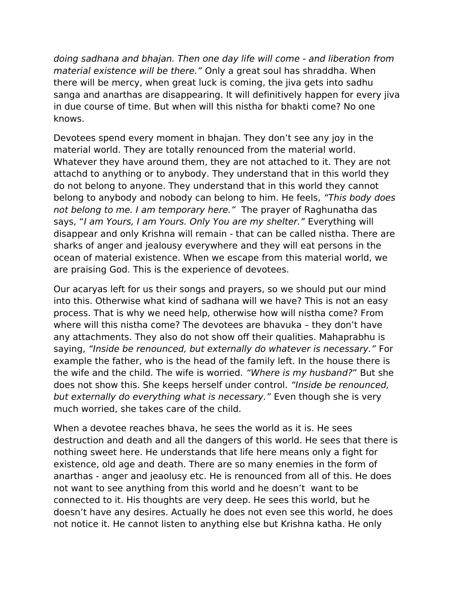doing sadhana and bhajan. Then one day life will come - and liberation from material existence will be there." Only a great soul has shraddha. When there will be mercy, when great luck is coming, the jiva gets into sadhu sanga and anarthas are disappearing. It will definitively happen for every jiva in due course of time. But when will this nistha for bhakti come? No one knows.

Devotees spend every moment in bhajan. They don't see any joy in the material world. They are totally renounced from the material world. Whatever they have around them, they are not attached to it. They are not attachd to anything or to anybody. They understand that in this world they do not belong to anyone. They understand that in this world they cannot belong to anybody and nobody can belong to him. He feels, "This body does not belong to me. I am temporary here." The prayer of Raghunatha das says, "I am Yours, I am Yours. Only You are my shelter." Everything will disappear and only Krishna will remain - that can be called nistha. There are sharks of anger and jealousy everywhere and they will eat persons in the ocean of material existence. When we escape from this material world, we are praising God. This is the experience of devotees.

Our acaryas left for us their songs and prayers, so we should put our mind into this. Otherwise what kind of sadhana will we have? This is not an easy process. That is why we need help, otherwise how will nistha come? From where will this nistha come? The devotees are bhavuka – they don't have any attachments. They also do not show off their qualities. Mahaprabhu is saying, "Inside be renounced, but externally do whatever is necessary." For example the father, who is the head of the family left. In the house there is the wife and the child. The wife is worried. "Where is my husband?" But she does not show this. She keeps herself under control. "Inside be renounced, but externally do everything what is necessary." Even though she is very much worried, she takes care of the child.

When a devotee reaches bhava, he sees the world as it is. He sees destruction and death and all the dangers of this world. He sees that there is nothing sweet here. He understands that life here means only a fight for existence, old age and death. There are so many enemies in the form of anarthas - anger and jeaolusy etc. He is renounced from all of this. He does not want to see anything from this world and he doesn't want to be connected to it. His thoughts are very deep. He sees this world, but he doesn't have any desires. Actually he does not even see this world, he does not notice it. He cannot listen to anything else but Krishna katha. He only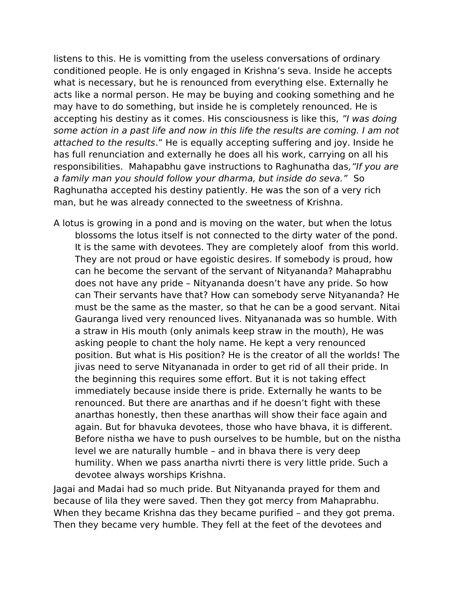listens to this. He is vomitting from the useless conversations of ordinary conditioned people. He is only engaged in Krishna's seva. Inside he accepts what is necessary, but he is renounced from everything else. Externally he acts like a normal person. He may be buying and cooking something and he may have to do something, but inside he is completely renounced. He is accepting his destiny as it comes. His consciousness is like this, "I was doing some action in a past life and now in this life the results are coming. I am not attached to the results." He is equally accepting suffering and joy. Inside he has full renunciation and externally he does all his work, carrying on all his responsibilities. Mahapabhu gave instructions to Raghunatha das, "If you are a family man you should follow your dharma, but inside do seva." So Raghunatha accepted his destiny patiently. He was the son of a very rich man, but he was already connected to the sweetness of Krishna.

A lotus is growing in a pond and is moving on the water, but when the lotus blossoms the lotus itself is not connected to the dirty water of the pond. It is the same with devotees. They are completely aloof from this world. They are not proud or have egoistic desires. If somebody is proud, how can he become the servant of the servant of Nityananda? Mahaprabhu does not have any pride – Nityananda doesn't have any pride. So how can Their servants have that? How can somebody serve Nityananda? He must be the same as the master, so that he can be a good servant. Nitai Gauranga lived very renounced lives. Nityananada was so humble. With a straw in His mouth (only animals keep straw in the mouth), He was asking people to chant the holy name. He kept a very renounced position. But what is His position? He is the creator of all the worlds! The jivas need to serve Nityananada in order to get rid of all their pride. In the beginning this requires some effort. But it is not taking effect immediately because inside there is pride. Externally he wants to be renounced. But there are anarthas and if he doesn't fight with these anarthas honestly, then these anarthas will show their face again and again. But for bhavuka devotees, those who have bhava, it is different. Before nistha we have to push ourselves to be humble, but on the nistha level we are naturally humble – and in bhava there is very deep humility. When we pass anartha nivrti there is very little pride. Such a devotee always worships Krishna.

Jagai and Madai had so much pride. But Nityananda prayed for them and because of lila they were saved. Then they got mercy from Mahaprabhu. When they became Krishna das they became purified – and they got prema. Then they became very humble. They fell at the feet of the devotees and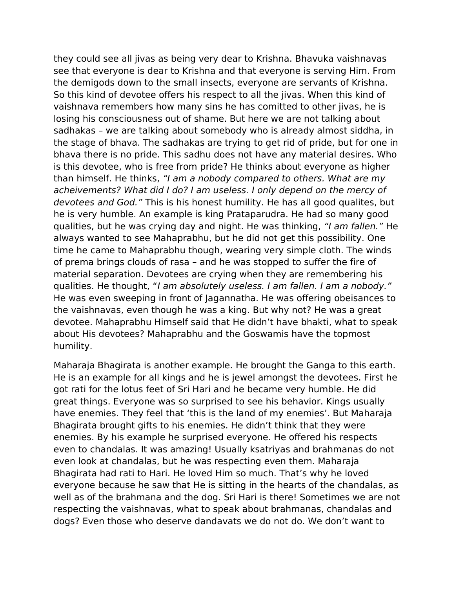they could see all jivas as being very dear to Krishna. Bhavuka vaishnavas see that everyone is dear to Krishna and that everyone is serving Him. From the demigods down to the small insects, everyone are servants of Krishna. So this kind of devotee offers his respect to all the jivas. When this kind of vaishnava remembers how many sins he has comitted to other jivas, he is losing his consciousness out of shame. But here we are not talking about sadhakas – we are talking about somebody who is already almost siddha, in the stage of bhava. The sadhakas are trying to get rid of pride, but for one in bhava there is no pride. This sadhu does not have any material desires. Who is this devotee, who is free from pride? He thinks about everyone as higher than himself. He thinks, "I am a nobody compared to others. What are my acheivements? What did I do? I am useless. I only depend on the mercy of devotees and God." This is his honest humility. He has all good qualites, but he is very humble. An example is king Prataparudra. He had so many good qualities, but he was crying day and night. He was thinking, "I am fallen." He always wanted to see Mahaprabhu, but he did not get this possibility. One time he came to Mahaprabhu though, wearing very simple cloth. The winds of prema brings clouds of rasa – and he was stopped to suffer the fire of material separation. Devotees are crying when they are remembering his qualities. He thought, "I am absolutely useless. I am fallen. I am a nobody." He was even sweeping in front of Jagannatha. He was offering obeisances to the vaishnavas, even though he was a king. But why not? He was a great devotee. Mahaprabhu Himself said that He didn't have bhakti, what to speak about His devotees? Mahaprabhu and the Goswamis have the topmost humility.

Maharaja Bhagirata is another example. He brought the Ganga to this earth. He is an example for all kings and he is jewel amongst the devotees. First he got rati for the lotus feet of Sri Hari and he became very humble. He did great things. Everyone was so surprised to see his behavior. Kings usually have enemies. They feel that 'this is the land of my enemies'. But Maharaja Bhagirata brought gifts to his enemies. He didn't think that they were enemies. By his example he surprised everyone. He offered his respects even to chandalas. It was amazing! Usually ksatriyas and brahmanas do not even look at chandalas, but he was respecting even them. Maharaja Bhagirata had rati to Hari. He loved Him so much. That's why he loved everyone because he saw that He is sitting in the hearts of the chandalas, as well as of the brahmana and the dog. Sri Hari is there! Sometimes we are not respecting the vaishnavas, what to speak about brahmanas, chandalas and dogs? Even those who deserve dandavats we do not do. We don't want to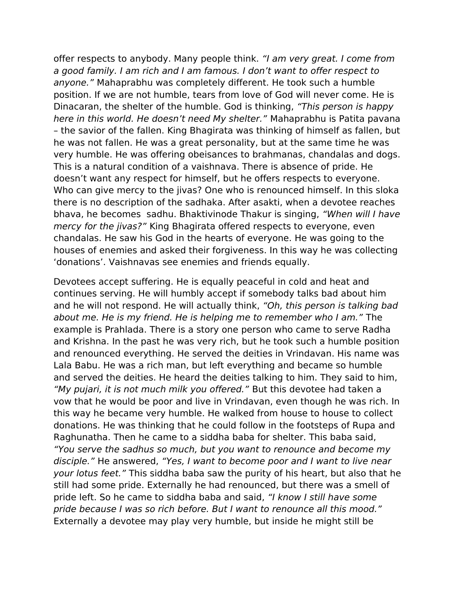offer respects to anybody. Many people think. "I am very great. I come from a good family. I am rich and I am famous. I don't want to offer respect to anyone." Mahaprabhu was completely different. He took such a humble position. If we are not humble, tears from love of God will never come. He is Dinacaran, the shelter of the humble. God is thinking, "This person is happy here in this world. He doesn't need My shelter." Mahaprabhu is Patita pavana – the savior of the fallen. King Bhagirata was thinking of himself as fallen, but he was not fallen. He was a great personality, but at the same time he was very humble. He was offering obeisances to brahmanas, chandalas and dogs. This is a natural condition of a vaishnava. There is absence of pride. He doesn't want any respect for himself, but he offers respects to everyone. Who can give mercy to the jivas? One who is renounced himself. In this sloka there is no description of the sadhaka. After asakti, when a devotee reaches bhava, he becomes sadhu. Bhaktivinode Thakur is singing, "When will I have mercy for the jivas?" King Bhagirata offered respects to everyone, even chandalas. He saw his God in the hearts of everyone. He was going to the houses of enemies and asked their forgiveness. In this way he was collecting 'donations'. Vaishnavas see enemies and friends equally.

Devotees accept suffering. He is equally peaceful in cold and heat and continues serving. He will humbly accept if somebody talks bad about him and he will not respond. He will actually think, "Oh, this person is talking bad about me. He is my friend. He is helping me to remember who I am." The example is Prahlada. There is a story one person who came to serve Radha and Krishna. In the past he was very rich, but he took such a humble position and renounced everything. He served the deities in Vrindavan. His name was Lala Babu. He was a rich man, but left everything and became so humble and served the deities. He heard the deities talking to him. They said to him, "My pujari, it is not much milk you offered." But this devotee had taken a vow that he would be poor and live in Vrindavan, even though he was rich. In this way he became very humble. He walked from house to house to collect donations. He was thinking that he could follow in the footsteps of Rupa and Raghunatha. Then he came to a siddha baba for shelter. This baba said, "You serve the sadhus so much, but you want to renounce and become my disciple." He answered, "Yes, I want to become poor and I want to live near your lotus feet." This siddha baba saw the purity of his heart, but also that he still had some pride. Externally he had renounced, but there was a smell of pride left. So he came to siddha baba and said, "I know I still have some pride because I was so rich before. But I want to renounce all this mood." Externally a devotee may play very humble, but inside he might still be